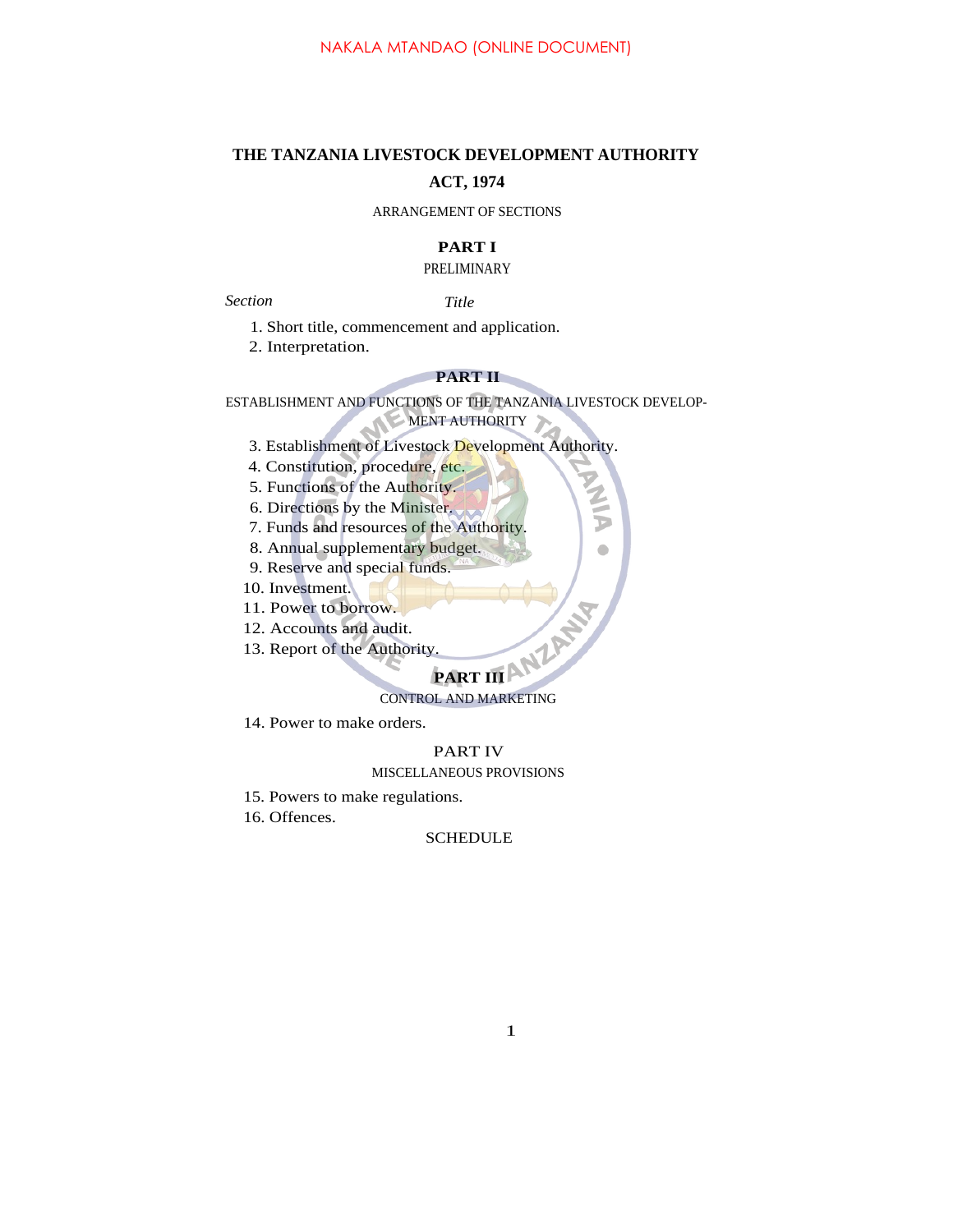# **THE TANZANIA LIVESTOCK DEVELOPMENT AUTHORITY ACT, 1974**

### ARRANGEMENT OF SECTIONS

# **PART I**

# PRELIMINARY

*Section Title*

1. Short title, commencement and application.

2. Interpretation.

# **PART II**

ESTABLISHMENT AND FUNCTIONS OF THE TANZANIA LIVESTOCK DEVELOP-MENT AUTHORITY

- 3. Establishment of Livestock Development Authority.
- 4. Constitution, procedure, etc.
- 5. Functions of the Authority.
- 6. Directions by the Minister.
- 7. Funds and resources of the Authority.
- 8. Annual supplementary budget.
- 9. Reserve and special funds.
- 10. Investment.
- 11. Power to borrow.
- 12. Accounts and audit.
- 13. Report of the Authority.

 $\bullet$ 

# **PART III ANZANY** CONTROL AND MARKETING

14. Power to make orders.

#### PART IV

### MISCELLANEOUS PROVISIONS

- 15. Powers to make regulations.
- 16. Offences.

## **SCHEDULE**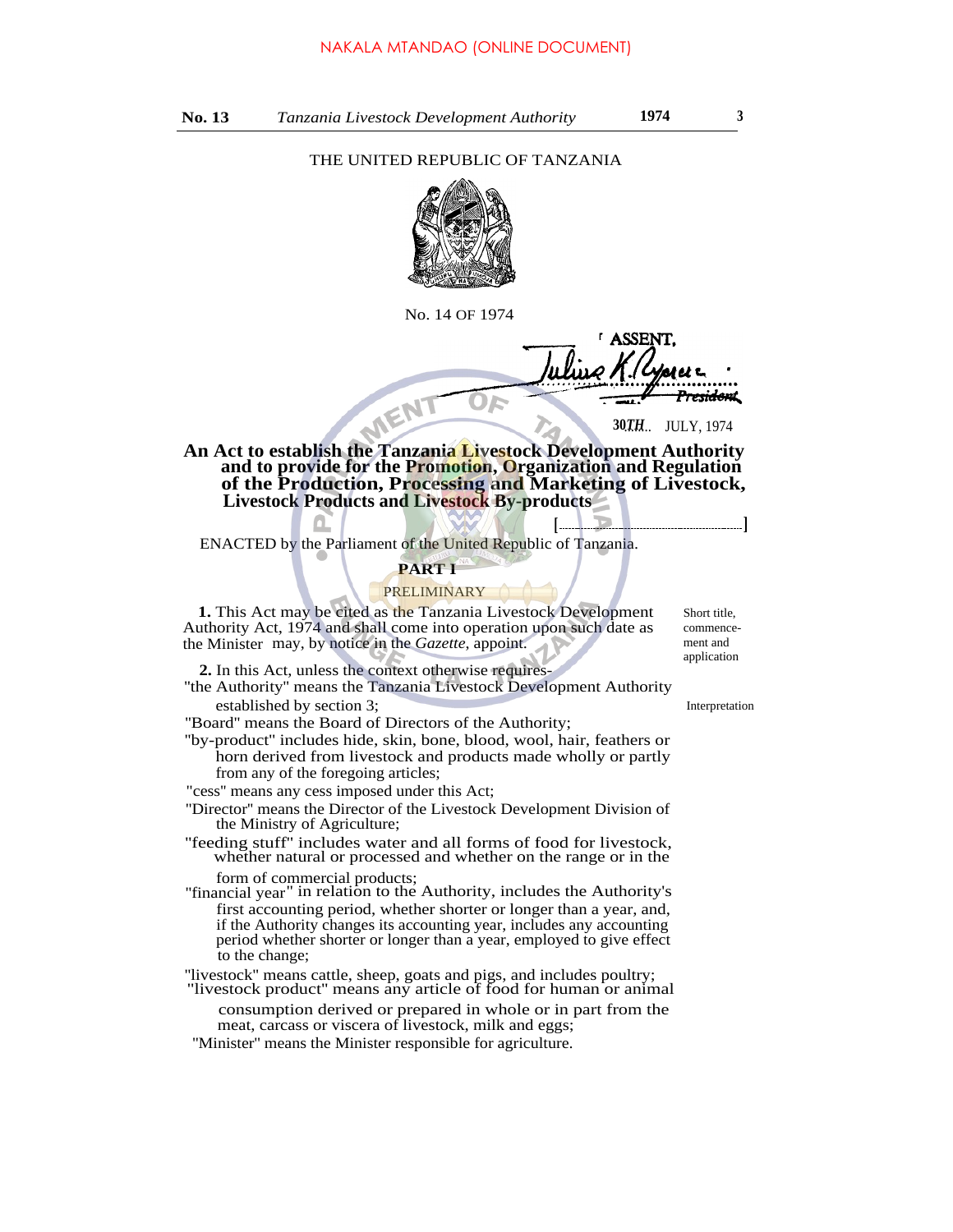#### THE UNITED REPUBLIC OF TANZANIA



No. 14 OF 1974

**ASSEN** <del>sidon</del>t

**30TH...** JULY, 1974

**[ ]**

**An Act to establish the Tanzania Livestock Development Authority and to provide for the Promotion, Organization and Regulation of the Production, Processing and Marketing of Livestock, Livestock Products and Livestock By-products**

ENACTED by the Parliament of the United Republic of Tanzania.

#### **PART I**

#### PRELIMINARY

**1.** This Act may be cited as the Tanzania Livestock Development Authority Act, 1974 and shall come into operation upon such date as the Minister may, by notice in the *Gazette*, appoint.

**2.** In this Act, unless the context otherwise requires-

''the Authority'' means the Tanzania Livestock Development Authority established by section 3;

''Board'' means the Board of Directors of the Authority;

''by-product'' includes hide, skin, bone, blood, wool, hair, feathers or horn derived from livestock and products made wholly or partly from any of the foregoing articles;

"cess'' means any cess imposed under this Act;

''Director'' means the Director of the Livestock Development Division of the Ministry of Agriculture;

''feeding stuff'' includes water and all forms of food for livestock, whether natural or processed and whether on the range or in the form of commercial products;

''financial year'' in relation to the Authority, includes the Authority's first accounting period, whether shorter or longer than a year, and, if the Authority changes its accounting year, includes any accounting period whether shorter or longer than a year, employed to give effect to the change;

''livestock'' means cattle, sheep, goats and pigs, and includes poultry;

"livestock product'' means any article of food for human or animal consumption derived or prepared in whole or in part from the meat, carcass or viscera of livestock, milk and eggs;

''Minister'' means the Minister responsible for agriculture.

Short title, commencement and application

Interpretation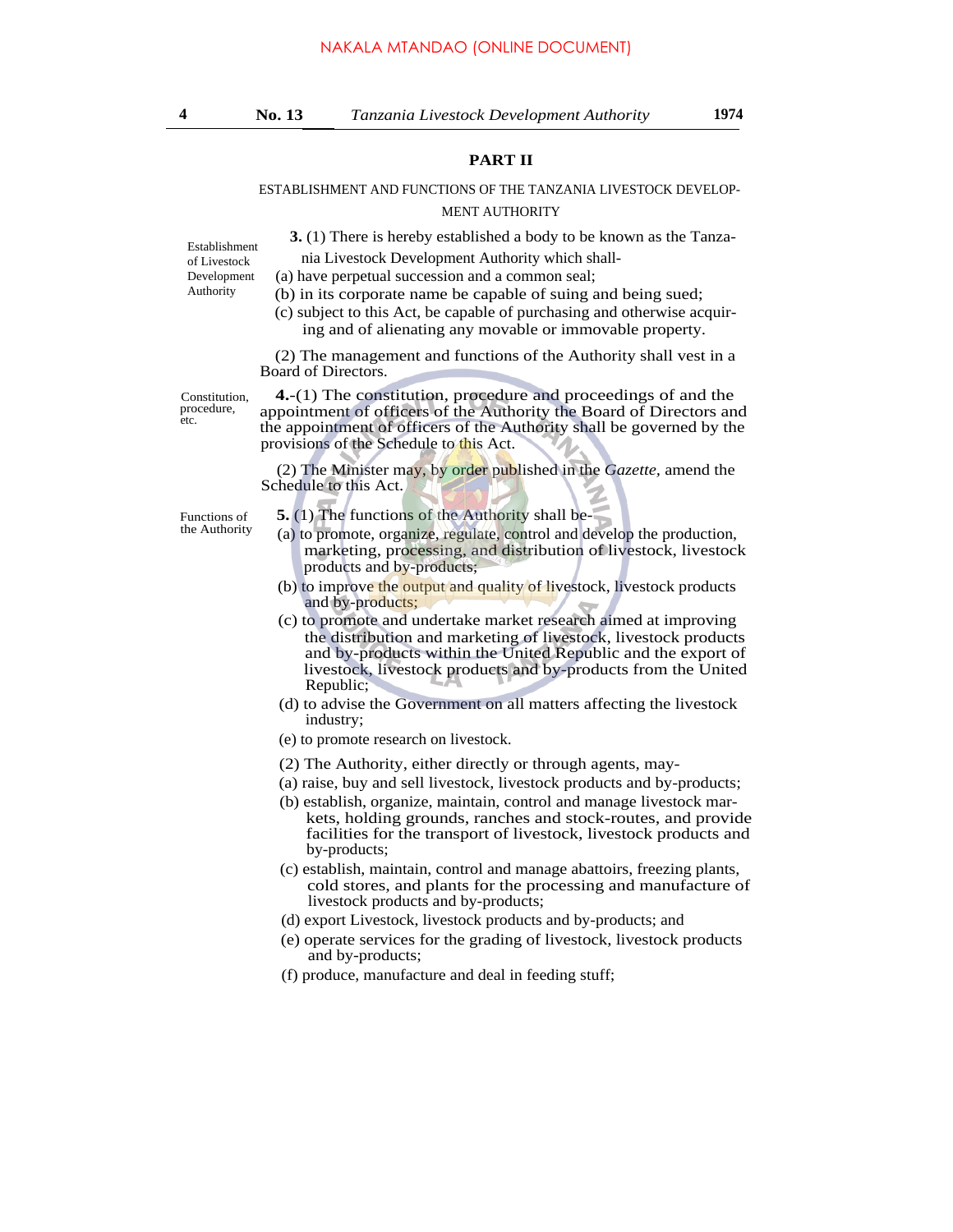#### **PART II**

#### ESTABLISHMENT AND FUNCTIONS OF THE TANZANIA LIVESTOCK DEVELOP-MENT AUTHORITY

**3.** (1) There is hereby established a body to be known as the Tanza-

Establishment of Livestock Development Authority

 nia Livestock Development Authority which shall- (a) have perpetual succession and a common seal;

- (b) in its corporate name be capable of suing and being sued;
- (c) subject to this Act, be capable of purchasing and otherwise acquiring and of alienating any movable or immovable property.

(2) The management and functions of the Authority shall vest in a Board of Directors.

Constitution, procedure, etc.

**4.**-(1) The constitution, procedure and proceedings of and the appointment of officers of the Authority the Board of Directors and the appointment of officers of the Authority shall be governed by the provisions of the Schedule to this Act.

(2) The Minister may, by order published in the *Gazette,* amend the Schedule to this Act.

- Functions of **5. (1)** The functions of the Authority shall be-<br>the Authority **6.** As any order appearing solution and the
	- $(a)$  to promote, organize, regulate, control and develop the production, marketing, processing, and distribution of livestock, livestock products and by-products;
	- (b) to improve the output and quality of livestock, livestock products and by-products;
	- (c) to promote and undertake market research aimed at improving the distribution and marketing of livestock, livestock products and by-products within the United Republic and the export of livestock, livestock products and by-products from the United Republic;
	- (d) to advise the Government on all matters affecting the livestock industry;
	- (e) to promote research on livestock.
	- (2) The Authority, either directly or through agents, may-
	- (a) raise, buy and sell livestock, livestock products and by-products;
	- (b) establish, organize, maintain, control and manage livestock markets, holding grounds, ranches and stock-routes, and provide facilities for the transport of livestock, livestock products and by-products;
	- (c) establish, maintain, control and manage abattoirs, freezing plants, cold stores, and plants for the processing and manufacture of livestock products and by-products;
	- (d) export Livestock, livestock products and by-products; and
	- (e) operate services for the grading of livestock, livestock products and by-products;
	- (f) produce, manufacture and deal in feeding stuff;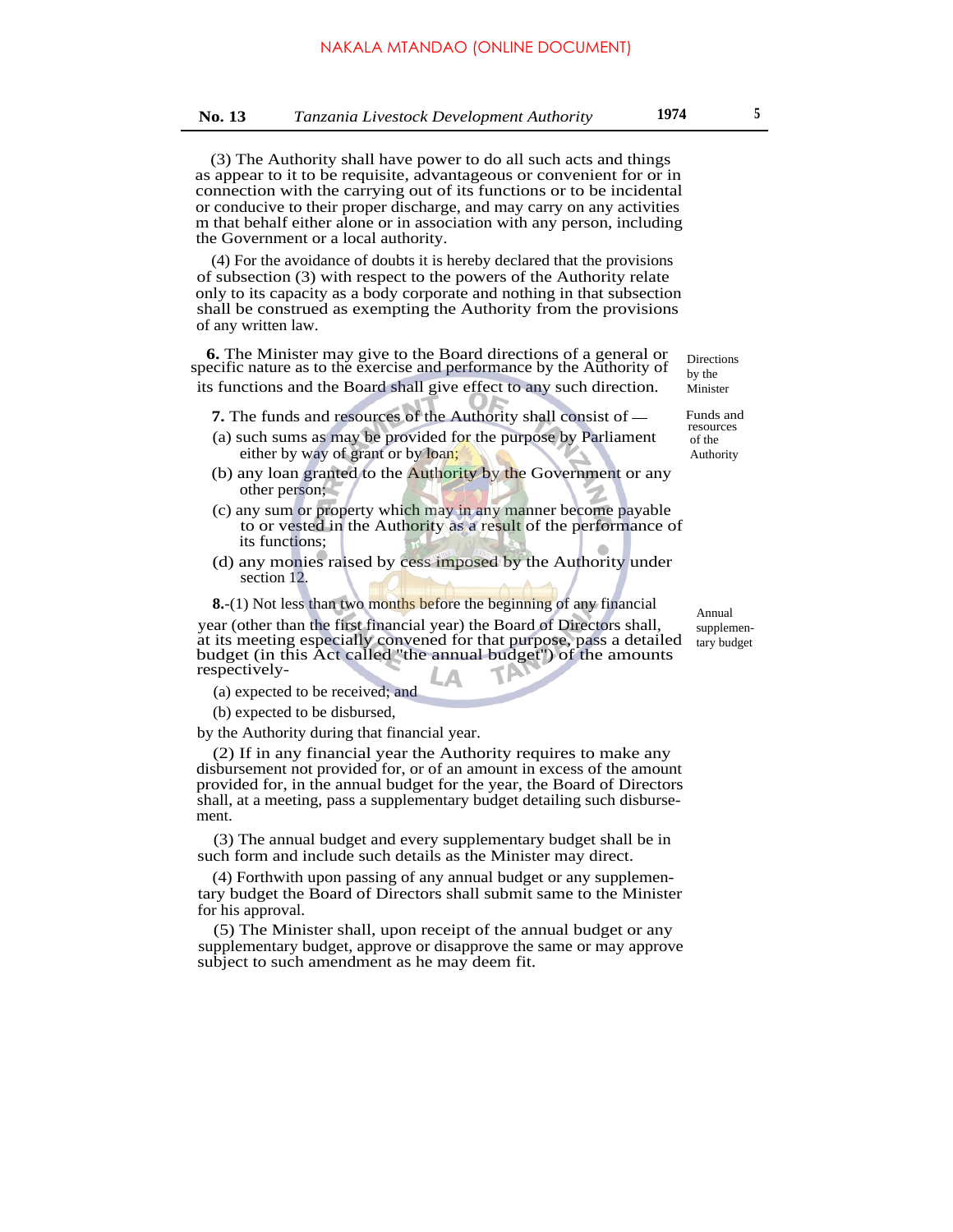(3) The Authority shall have power to do all such acts and things as appear to it to be requisite, advantageous or convenient for or in connection with the carrying out of its functions or to be incidental or conducive to their proper discharge, and may carry on any activities m that behalf either alone or in association with any person, including the Government or a local authority.

(4) For the avoidance of doubts it is hereby declared that the provisions of subsection (3) with respect to the powers of the Authority relate only to its capacity as a body corporate and nothing in that subsection shall be construed as exempting the Authority from the provisions of any written law.

**6.** The Minister may give to the Board directions of a general or specific nature as to the exercise and performance by the Authority of its functions and the Board shall give effect to any such direction.

**7.** The funds and resources of the Authority shall consist of  $-$  Funds and

- (a) such sums as may be provided for the purpose by Parliament either by way of grant or by loan;
- (b) any loan granted to the Authority by the Government or any other person;
- (c) any sum or property which may in any manner become payable to or vested in the Authority as a result of the performance of its functions;
- (d) any monies raised by cess imposed by the Authority under section 12.

**8.**-(1) Not less than two months before the beginning of any financial year (other than the first financial year) the Board of Directors shall, at its meeting especially convened for that purpose, pass a detailed budget (in this Act called ''the annual budget'') of the amounts respectively- V

(a) expected to be received; and

(b) expected to be disbursed,

by the Authority during that financial year.

(2) If in any financial year the Authority requires to make any disbursement not provided for, or of an amount in excess of the amount provided for, in the annual budget for the year, the Board of Directors shall, at a meeting, pass a supplementary budget detailing such disbursement.

(3) The annual budget and every supplementary budget shall be in such form and include such details as the Minister may direct.

(4) Forthwith upon passing of any annual budget or any supplementary budget the Board of Directors shall submit same to the Minister for his approval.

(5) The Minister shall, upon receipt of the annual budget or any supplementary budget, approve or disapprove the same or may approve subject to such amendment as he may deem fit.

Directions by the Minister

resources of the Authority

Annual supplementary budget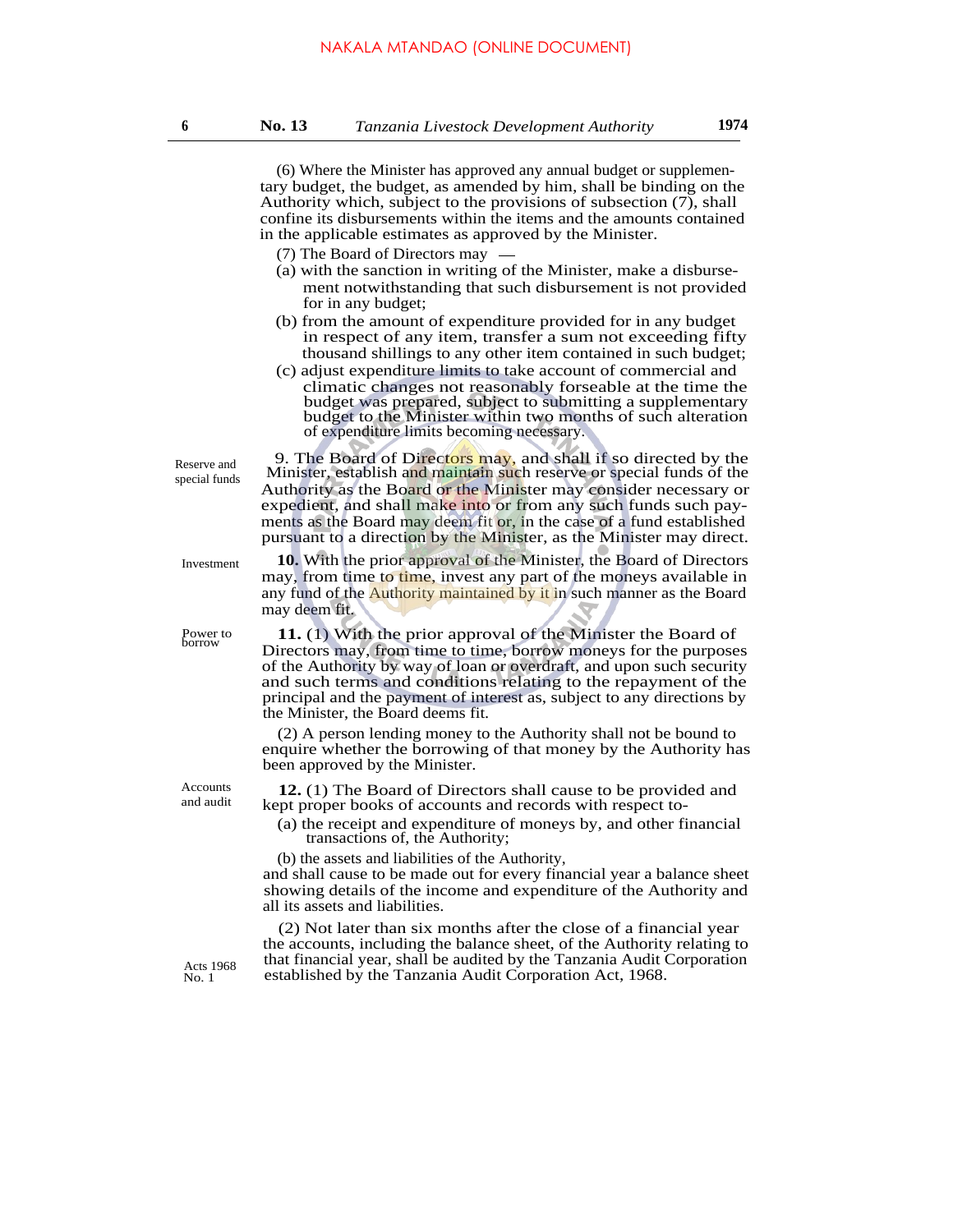**6 No. 13** *Tanzania Livestock Development Authority* **1974**

(6) Where the Minister has approved any annual budget or supplementary budget, the budget, as amended by him, shall be binding on the Authority which, subject to the provisions of subsection (7), shall confine its disbursements within the items and the amounts contained in the applicable estimates as approved by the Minister. (7) The Board of Directors may (a) with the sanction in writing of the Minister, make a disbursement notwithstanding that such disbursement is not provided for in any budget; (b) from the amount of expenditure provided for in any budget in respect of any item, transfer a sum not exceeding fifty thousand shillings to any other item contained in such budget; (c) adjust expenditure limits to take account of commercial and climatic changes not reasonably forseable at the time the budget was prepared, subject to submitting a supplementary budget to the Minister within two months of such alteration of expenditure limits becoming necessary. 9. The Board of Directors may, and shall if so directed by the Minister, establish and maintain such reserve or special funds of the Authority as the Board or the Minister may consider necessary or expedient, and shall make into or from any such funds such payments as the Board may deem fit or, in the case of a fund established pursuant to a direction by the Minister, as the Minister may direct. **10.** With the prior approval of the Minister, the Board of Directors may, from time to time, invest any part of the moneys available in any fund of the **Authority maintained by it in** such manner as the Board may deem fit. Investment **11.** (1) With the prior approval of the Minister the Board of Directors may, from time to time, borrow moneys for the purposes of the Authority by way of loan or overdraft, and upon such security and such terms and conditions relating to the repayment of the principal and the payment of interest as, subject to any directions by the Minister, the Board deems fit. Power to borrow (2) A person lending money to the Authority shall not be bound to enquire whether the borrowing of that money by the Authority has been approved by the Minister. Accounts **12.** (1) The Board of Directors shall cause to be provided and and audit kept proper books of accounts and records with respect to-(a) the receipt and expenditure of moneys by, and other financial transactions of, the Authority; (b) the assets and liabilities of the Authority, and shall cause to be made out for every financial year a balance sheet showing details of the income and expenditure of the Authority and all its assets and liabilities. (2) Not later than six months after the close of a financial year the accounts, including the balance sheet, of the Authority relating to that financial year, shall be audited by the Tanzania Audit Corporation Acts 1968 had financial year, shall be addited by the Tanzania Audit Corporation Act, 1968. No. 1 Reserve and special funds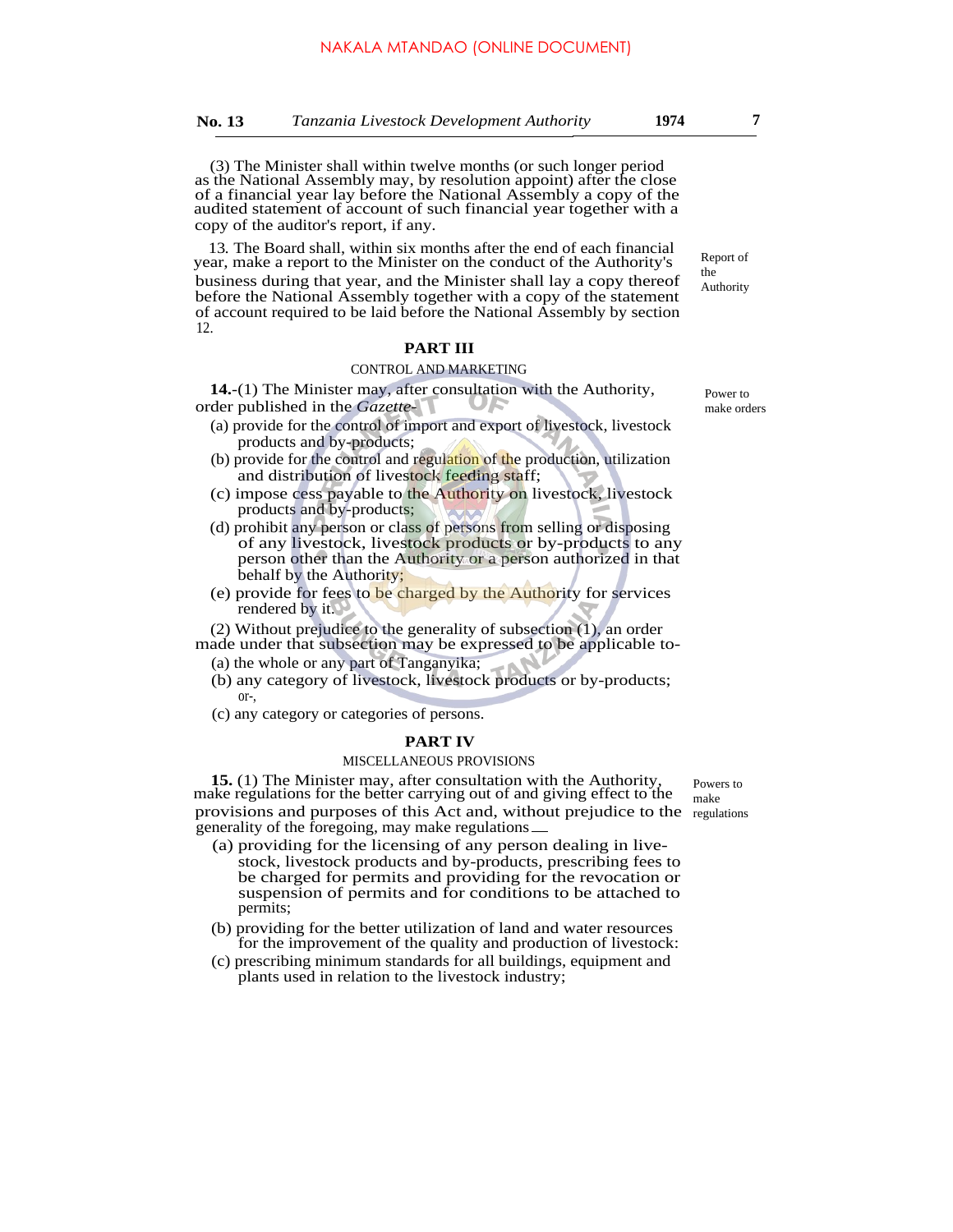13*.* The Board shall, within six months after the end of each financial year, make a report to the Minister on the conduct of the Authority's business during that year, and the Minister shall lay a copy thereof before the National Assembly together with a copy of the statement of account required to be laid before the National Assembly by section 12.

#### **PART III**

#### CONTROL AND MARKETING

**14.**-(1) The Minister may, after consultation with the Authority, order published in the *Gazette-*

- (a) provide for the control of import and export of livestock, livestock products and by-products;
- (b) provide for the control and regulation of the production, utilization and distribution of livestock feeding staff;
- (c) impose cess payable to the Authority on livestock, livestock products and by-products;
- (d) prohibit any person or class of persons from selling or disposing of any livestock, livestock products or by-products to any person other than the Authority or a person authorized in that behalf by the Authority;
- (e) provide for fees to be charged by the Authority for services rendered by it.

(2) Without prejudice to the generality of subsection (1), an order

- made under that subsection may be expressed to be applicable to- (a) the whole or any part of Tanganyika;
	- (b) any category of livestock, livestock products or by-products; or-,
	- (c) any category or categories of persons.

#### **PART IV**

#### MISCELLANEOUS PROVISIONS

**15.** (1) The Minister may, after consultation with the Authority, make regulations for the better carrying out of and giving effect to the provisions and purposes of this Act and, without prejudice to the regulations generality of the foregoing, may make regulations

- (a) providing for the licensing of any person dealing in livestock, livestock products and by-products, prescribing fees to be charged for permits and providing for the revocation or suspension of permits and for conditions to be attached to permits;
- (b) providing for the better utilization of land and water resources for the improvement of the quality and production of livestock:
- (c) prescribing minimum standards for all buildings, equipment and plants used in relation to the livestock industry;

Powers to make

Authority

Report of the

Power to make orders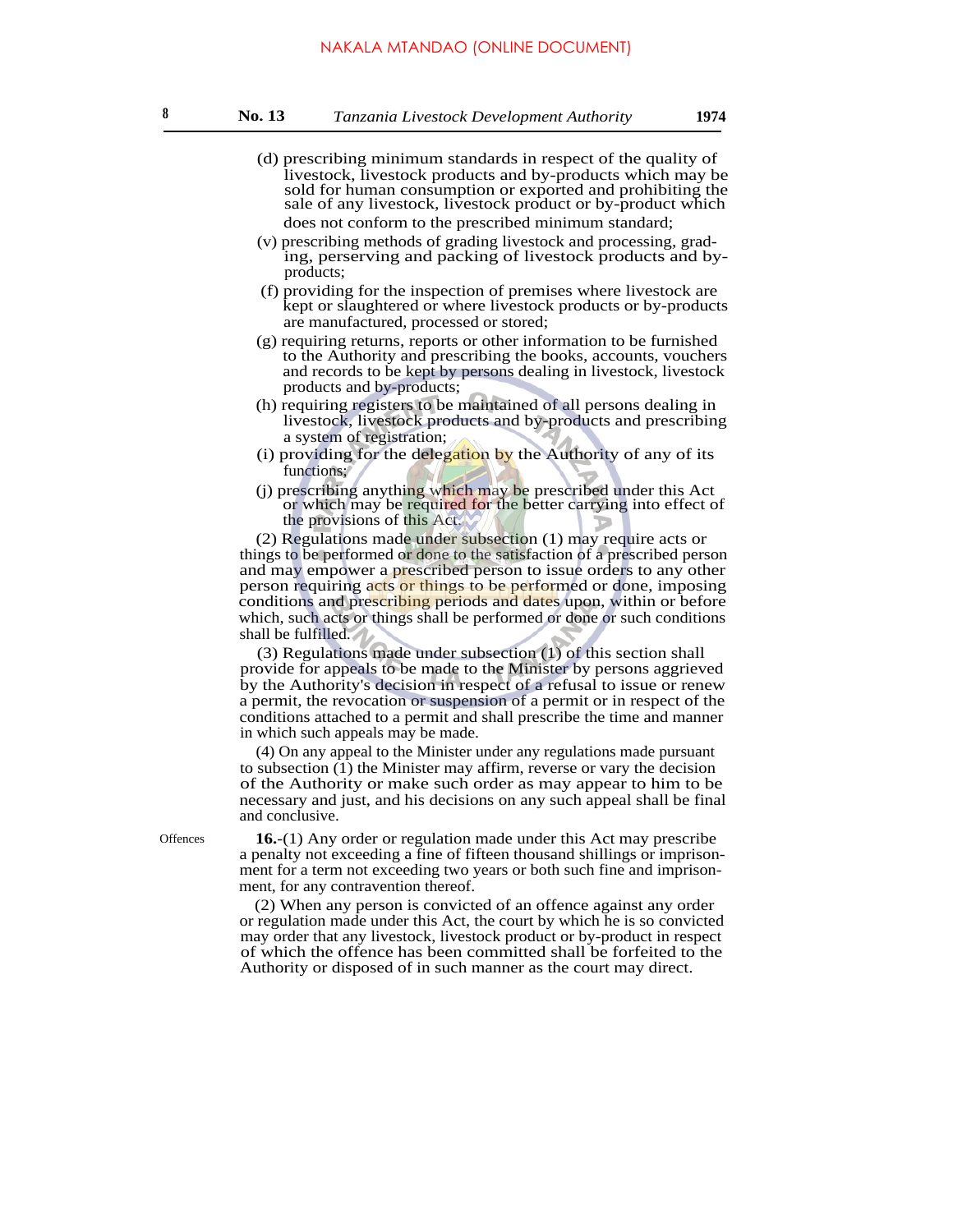- (d) prescribing minimum standards in respect of the quality of livestock, livestock products and by-products which may be sold for human consumption or exported and prohibiting the sale of any livestock, livestock product or by-product which does not conform to the prescribed minimum standard;
- (v) prescribing methods of grading livestock and processing, grading, perserving and packing of livestock products and byproducts;
- (f) providing for the inspection of premises where livestock are kept or slaughtered or where livestock products or by-products are manufactured, processed or stored;
- (g) requiring returns, reports or other information to be furnished to the Authority and prescribing the books, accounts, vouchers and records to be kept by persons dealing in livestock, livestock products and by-products;
- (h) requiring registers to be maintained of all persons dealing in livestock, livestock products and by-products and prescribing a system of registration;
- (i) providing for the delegation by the Authority of any of its functions;
- (j) prescribing anything which may be prescribed under this Act or which may be required for the better carrying into effect of the provisions of this Act.

(2) Regulations made under subsection (1) may require acts or things to be performed or done to the satisfaction of a prescribed person and may empower a **prescribed** person to issue orders to any other person requiring acts or things to be performed or done, imposing conditions and prescribing periods and dates upon, within or before which, such acts or things shall be performed or done or such conditions shall be fulfilled.

(3) Regulations made under subsection (1) of this section shall provide for appeals to be made to the Minister by persons aggrieved by the Authority's decision in respect of a refusal to issue or renew a permit, the revocation or suspension of a permit or in respect of the conditions attached to a permit and shall prescribe the time and manner in which such appeals may be made.

(4) On any appeal to the Minister under any regulations made pursuant to subsection (1) the Minister may affirm, reverse or vary the decision of the Authority or make such order as may appear to him to be necessary and just, and his decisions on any such appeal shall be final and conclusive.

Offences **16.**-(1) Any order or regulation made under this Act may prescribe a penalty not exceeding a fine of fifteen thousand shillings or imprisonment for a term not exceeding two years or both such fine and imprisonment, for any contravention thereof.

> (2) When any person is convicted of an offence against any order or regulation made under this Act, the court by which he is so convicted may order that any livestock, livestock product or by-product in respect of which the offence has been committed shall be forfeited to the Authority or disposed of in such manner as the court may direct.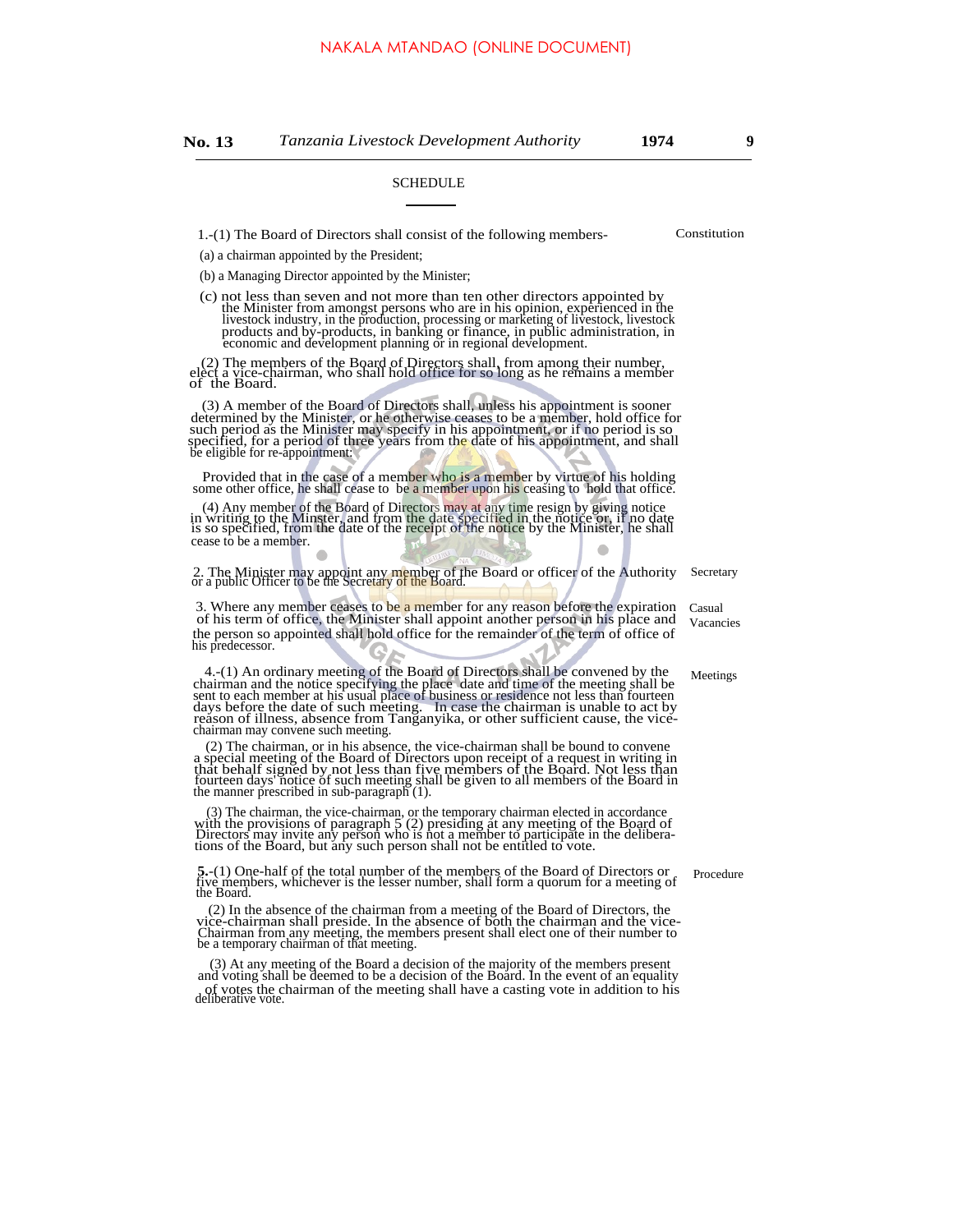#### SCHEDULE

1.-(1) The Board of Directors shall consist of the following members- Constitution

(a) a chairman appointed by the President;

(b) a Managing Director appointed by the Minister;

(c) not less than seven and not more than ten other directors appointed by the Minister from amongst persons who are in his opinion, experienced in the livestock industry, in the production, processing or marketing of livestock, livestock products and by-products, in banking or finance, in public

(2) The members of the Board of Directors shall, from among their number, elect a vice-chairman, who shall hold office for so long as he remains a member of the Board.

(3) A member of the Board of Directors shall, unless his appointment is sooner determined by the Minister, or he otherwise ceases to be a member, hold office for such period as the Minister may specify in his appointment, or if no period is so specified, for a period of three years from the date of his appointment, and shall be eligible for re-appointment:

Provided that in the case of a member who is a member by virtue of his holding some other office, he shall cease to be a member upon his ceasing to hold that office.

(4) Any member of the Board of Directors may at any time resign by giving notice<br>in writing to the Minster, and from the date specified in the notice or, if no date<br>is so specified, from the date of the receipt of the noti cease to be a member.

2. The Minister may appoint any member of the Board or officer of the Authority or a public Officer to be the Secretary of the Board. Secretary

3. Where any member ceases to be a member for any reason before the expiration of his term of office, the Minister shall appoint another person in his place and the person so appointed shall hold office for the remainder of the term of office of his predecessor.

 $4-(1)$  An ordinary meeting of the Board of Directors shall be convened by the chairman and the notice specifying the place date and time of the meeting shall be sent to each member at his usual place of business or reside chairman may convene such meeting.

(2) The chairman, or in his absence, the vice-chairman shall be bound to convene a special meeting of the Board of Directors upon receipt of a request in writing in that behalf signed by not less than five members of the Board. Not less than fourteen days notice of such meeting of the Board. Not less t

(3) The chairman, the vice-chairman, or the temporary chairman elected in accordance<br>with the provisions of paragraph  $5$  (2) presiding at any meeting of the Board of<br>Directors may invite any person who is not a member to

**5.**-(1) One-half of the total number of the members of the Board of Directors or five members, whichever is the lesser number, shall form a quorum for a meeting of the Board.

(2) In the absence of the chairman from a meeting of the Board of Directors, the vice-chairman shall preside. In the absence of both the chairman and the vice-Chairman from any meeting, the members present shall elect one of their number to be a temporary chairman of that meeting.

(3) At any meeting of the Board a decision of the majority of the members present and voting shall be deemed to be a decision of the Board. In the event of an equality of votes the chairman of the meeting shall have a casting vote in addition to his deliberative vote.

Casual Vacancies

**Meetings** 

Procedure